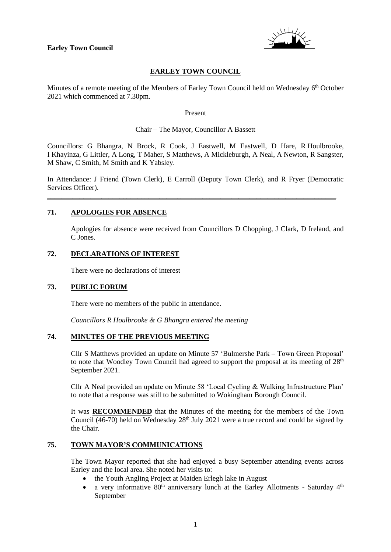

# **EARLEY TOWN COUNCIL**

Minutes of a remote meeting of the Members of Earley Town Council held on Wednesday 6<sup>th</sup> October 2021 which commenced at 7.30pm.

#### Present

#### Chair – The Mayor, Councillor A Bassett

Councillors: G Bhangra, N Brock, R Cook, J Eastwell, M Eastwell, D Hare, R Houlbrooke, I Khayinza, G Littler, A Long, T Maher, S Matthews, A Mickleburgh, A Neal, A Newton, R Sangster, M Shaw, C Smith, M Smith and K Yabsley.

In Attendance: J Friend (Town Clerk), E Carroll (Deputy Town Clerk), and R Fryer (Democratic Services Officer).

\_\_\_\_\_\_\_\_\_\_\_\_\_\_\_\_\_\_\_\_\_\_\_\_\_\_\_\_\_\_\_\_\_\_\_\_\_\_\_\_\_\_\_\_\_\_\_\_\_\_\_\_\_\_\_\_\_\_\_\_\_\_\_\_\_\_\_\_\_\_\_\_\_\_\_\_\_\_\_\_

### **71. APOLOGIES FOR ABSENCE**

Apologies for absence were received from Councillors D Chopping, J Clark, D Ireland, and C Jones.

### **72. DECLARATIONS OF INTEREST**

There were no declarations of interest

### **73. PUBLIC FORUM**

There were no members of the public in attendance.

*Councillors R Houlbrooke & G Bhangra entered the meeting*

## **74. MINUTES OF THE PREVIOUS MEETING**

Cllr S Matthews provided an update on Minute 57 'Bulmershe Park – Town Green Proposal' to note that Woodley Town Council had agreed to support the proposal at its meeting of  $28<sup>th</sup>$ September 2021.

Cllr A Neal provided an update on Minute 58 'Local Cycling & Walking Infrastructure Plan' to note that a response was still to be submitted to Wokingham Borough Council.

It was **RECOMMENDED** that the Minutes of the meeting for the members of the Town Council  $(46-70)$  held on Wednesday  $28<sup>th</sup>$  July 2021 were a true record and could be signed by the Chair.

#### **75. TOWN MAYOR'S COMMUNICATIONS**

The Town Mayor reported that she had enjoyed a busy September attending events across Earley and the local area. She noted her visits to:

- the Youth Angling Project at Maiden Erlegh lake in August
- a very informative  $80<sup>th</sup>$  anniversary lunch at the Earley Allotments Saturday  $4<sup>th</sup>$ September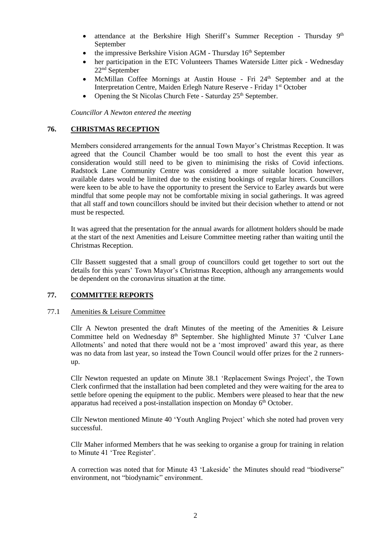- attendance at the Berkshire High Sheriff's Summer Reception Thursday 9<sup>th</sup> September
- the impressive Berkshire Vision AGM Thursday 16<sup>th</sup> September
- her participation in the ETC Volunteers Thames Waterside Litter pick Wednesday 22nd September
- McMillan Coffee Mornings at Austin House Fri 24th September and at the Interpretation Centre, Maiden Erlegh Nature Reserve - Friday 1<sup>st</sup> October
- Opening the St Nicolas Church Fete Saturday  $25<sup>th</sup>$  September.

*Councillor A Newton entered the meeting*

# **76. CHRISTMAS RECEPTION**

Members considered arrangements for the annual Town Mayor's Christmas Reception. It was agreed that the Council Chamber would be too small to host the event this year as consideration would still need to be given to minimising the risks of Covid infections. Radstock Lane Community Centre was considered a more suitable location however, available dates would be limited due to the existing bookings of regular hirers. Councillors were keen to be able to have the opportunity to present the Service to Earley awards but were mindful that some people may not be comfortable mixing in social gatherings. It was agreed that all staff and town councillors should be invited but their decision whether to attend or not must be respected.

It was agreed that the presentation for the annual awards for allotment holders should be made at the start of the next Amenities and Leisure Committee meeting rather than waiting until the Christmas Reception.

Cllr Bassett suggested that a small group of councillors could get together to sort out the details for this years' Town Mayor's Christmas Reception, although any arrangements would be dependent on the coronavirus situation at the time.

# **77. COMMITTEE REPORTS**

### 77.1 Amenities & Leisure Committee

Cllr A Newton presented the draft Minutes of the meeting of the Amenities & Leisure Committee held on Wednesday 8<sup>th</sup> September. She highlighted Minute 37 'Culver Lane Allotments' and noted that there would not be a 'most improved' award this year, as there was no data from last year, so instead the Town Council would offer prizes for the 2 runnersup.

Cllr Newton requested an update on Minute 38.1 'Replacement Swings Project', the Town Clerk confirmed that the installation had been completed and they were waiting for the area to settle before opening the equipment to the public. Members were pleased to hear that the new apparatus had received a post-installation inspection on Monday 6<sup>th</sup> October.

Cllr Newton mentioned Minute 40 'Youth Angling Project' which she noted had proven very successful.

Cllr Maher informed Members that he was seeking to organise a group for training in relation to Minute 41 'Tree Register'.

A correction was noted that for Minute 43 'Lakeside' the Minutes should read "biodiverse" environment, not "biodynamic" environment.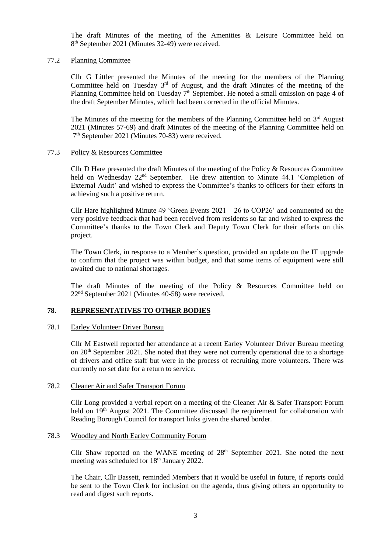The draft Minutes of the meeting of the Amenities & Leisure Committee held on 8<sup>th</sup> September 2021 (Minutes 32-49) were received.

#### 77.2 Planning Committee

Cllr G Littler presented the Minutes of the meeting for the members of the Planning Committee held on Tuesday  $3<sup>rd</sup>$  of August, and the draft Minutes of the meeting of the Planning Committee held on Tuesday 7<sup>th</sup> September. He noted a small omission on page 4 of the draft September Minutes, which had been corrected in the official Minutes.

The Minutes of the meeting for the members of the Planning Committee held on 3<sup>rd</sup> August 2021 (Minutes 57-69) and draft Minutes of the meeting of the Planning Committee held on 7 th September 2021 (Minutes 70-83) were received.

#### 77.3 Policy & Resources Committee

Cllr D Hare presented the draft Minutes of the meeting of the Policy & Resources Committee held on Wednesday 22<sup>nd</sup> September. He drew attention to Minute 44.1 'Completion of External Audit' and wished to express the Committee's thanks to officers for their efforts in achieving such a positive return.

Cllr Hare highlighted Minute 49 'Green Events  $2021 - 26$  to COP26' and commented on the very positive feedback that had been received from residents so far and wished to express the Committee's thanks to the Town Clerk and Deputy Town Clerk for their efforts on this project.

The Town Clerk, in response to a Member's question, provided an update on the IT upgrade to confirm that the project was within budget, and that some items of equipment were still awaited due to national shortages.

The draft Minutes of the meeting of the Policy & Resources Committee held on 22nd September 2021 (Minutes 40-58) were received.

### **78. REPRESENTATIVES TO OTHER BODIES**

#### 78.1 Earley Volunteer Driver Bureau

Cllr M Eastwell reported her attendance at a recent Earley Volunteer Driver Bureau meeting on 20<sup>th</sup> September 2021. She noted that they were not currently operational due to a shortage of drivers and office staff but were in the process of recruiting more volunteers. There was currently no set date for a return to service.

#### 78.2 Cleaner Air and Safer Transport Forum

Cllr Long provided a verbal report on a meeting of the Cleaner Air & Safer Transport Forum held on 19<sup>th</sup> August 2021. The Committee discussed the requirement for collaboration with Reading Borough Council for transport links given the shared border.

#### 78.3 Woodley and North Earley Community Forum

Cllr Shaw reported on the WANE meeting of  $28<sup>th</sup>$  September 2021. She noted the next meeting was scheduled for 18<sup>th</sup> January 2022.

The Chair, Cllr Bassett, reminded Members that it would be useful in future, if reports could be sent to the Town Clerk for inclusion on the agenda, thus giving others an opportunity to read and digest such reports.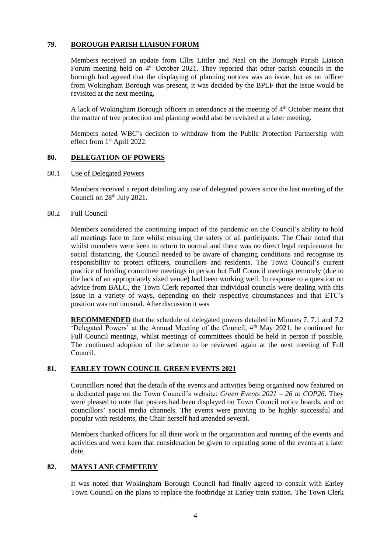# **79. BOROUGH PARISH LIAISON FORUM**

Members received an update from Cllrs Littler and Neal on the Borough Parish Liaison Forum meeting held on  $4<sup>th</sup>$  October 2021. They reported that other parish councils in the borough had agreed that the displaying of planning notices was an issue, but as no officer from Wokingham Borough was present, it was decided by the BPLF that the issue would be revisited at the next meeting.

A lack of Wokingham Borough officers in attendance at the meeting of 4<sup>th</sup> October meant that the matter of tree protection and planting would also be revisited at a later meeting.

Members noted WBC's decision to withdraw from the Public Protection Partnership with effect from 1st April 2022.

### **80. DELEGATION OF POWERS**

#### 80.1 Use of Delegated Powers

Members received a report detailing any use of delegated powers since the last meeting of the Council on  $28<sup>th</sup>$  July  $2021$ .

#### 80.2 Full Council

Members considered the continuing impact of the pandemic on the Council's ability to hold all meetings face to face whilst ensuring the safety of all participants. The Chair noted that whilst members were keen to return to normal and there was no direct legal requirement for social distancing, the Council needed to be aware of changing conditions and recognise its responsibility to protect officers, councillors and residents. The Town Council's current practice of holding committee meetings in person but Full Council meetings remotely (due to the lack of an appropriately sized venue) had been working well. In response to a question on advice from BALC, the Town Clerk reported that individual councils were dealing with this issue in a variety of ways, depending on their respective circumstances and that ETC's position was not unusual. After discussion it was

**RECOMMENDED** that the schedule of delegated powers detailed in Minutes 7, 7.1 and 7.2 'Delegated Powers' at the Annual Meeting of the Council, 4<sup>th</sup> May 2021, be continued for Full Council meetings, whilst meetings of committees should be held in person if possible. The continued adoption of the scheme to be reviewed again at the next meeting of Full Council.

### **81. EARLEY TOWN COUNCIL GREEN EVENTS 2021**

Councillors noted that the details of the events and activities being organised now featured on a dedicated page on the Town Council's website: *Green Events 2021 – 26 to COP26*. They were pleased to note that posters had been displayed on Town Council notice boards, and on councillors' social media channels. The events were proving to be highly successful and popular with residents, the Chair herself had attended several.

Members thanked officers for all their work in the organisation and running of the events and activities and were keen that consideration be given to repeating some of the events at a later date.

# **82. MAYS LANE CEMETERY**

It was noted that Wokingham Borough Council had finally agreed to consult with Earley Town Council on the plans to replace the footbridge at Earley train station. The Town Clerk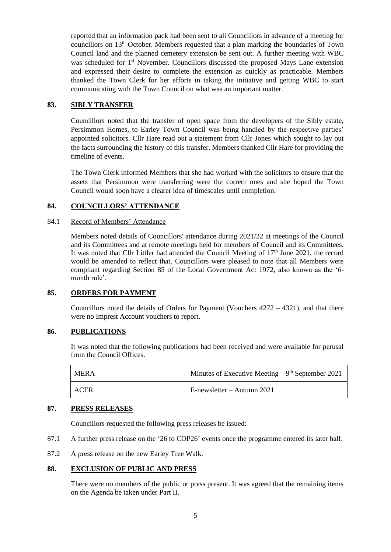reported that an information pack had been sent to all Councillors in advance of a meeting for councillors on  $13<sup>th</sup>$  October. Members requested that a plan marking the boundaries of Town Council land and the planned cemetery extension be sent out. A further meeting with WBC was scheduled for 1<sup>st</sup> November. Councillors discussed the proposed Mays Lane extension and expressed their desire to complete the extension as quickly as practicable. Members thanked the Town Clerk for her efforts in taking the initiative and getting WBC to start communicating with the Town Council on what was an important matter.

# **83. SIBLY TRANSFER**

Councillors noted that the transfer of open space from the developers of the Sibly estate, Persimmon Homes, to Earley Town Council was being handled by the respective parties' appointed solicitors. Cllr Hare read out a statement from Cllr Jones which sought to lay out the facts surrounding the history of this transfer. Members thanked Cllr Hare for providing the timeline of events.

The Town Clerk informed Members that she had worked with the solicitors to ensure that the assets that Persimmon were transferring were the correct ones and she hoped the Town Council would soon have a clearer idea of timescales until completion.

# **84. COUNCILLORS' ATTENDANCE**

### 84.1 Record of Members' Attendance

Members noted details of Councillors' attendance during 2021/22 at meetings of the Council and its Committees and at remote meetings held for members of Council and its Committees. It was noted that Cllr Littler had attended the Council Meeting of 17<sup>th</sup> June 2021, the record would be amended to reflect that. Councillors were pleased to note that all Members were compliant regarding Section 85 of the Local Government Act 1972, also known as the '6 month rule'.

# **85. ORDERS FOR PAYMENT**

Councillors noted the details of Orders for Payment (Vouchers  $4272 - 4321$ ), and that there were no Imprest Account vouchers to report.

### **86. PUBLICATIONS**

It was noted that the following publications had been received and were available for perusal from the Council Offices.

| <b>MERA</b> | Minutes of Executive Meeting $-9th$ September 2021 |
|-------------|----------------------------------------------------|
| ACER        | $E$ -newsletter – Autumn 2021                      |

# **87. PRESS RELEASES**

Councillors requested the following press releases be issued:

- 87.1 A further press release on the '26 to COP26' events once the programme entered its later half.
- 87.2 A press release on the new Earley Tree Walk.

# **88. EXCLUSION OF PUBLIC AND PRESS**

There were no members of the public or press present. It was agreed that the remaining items on the Agenda be taken under Part II.